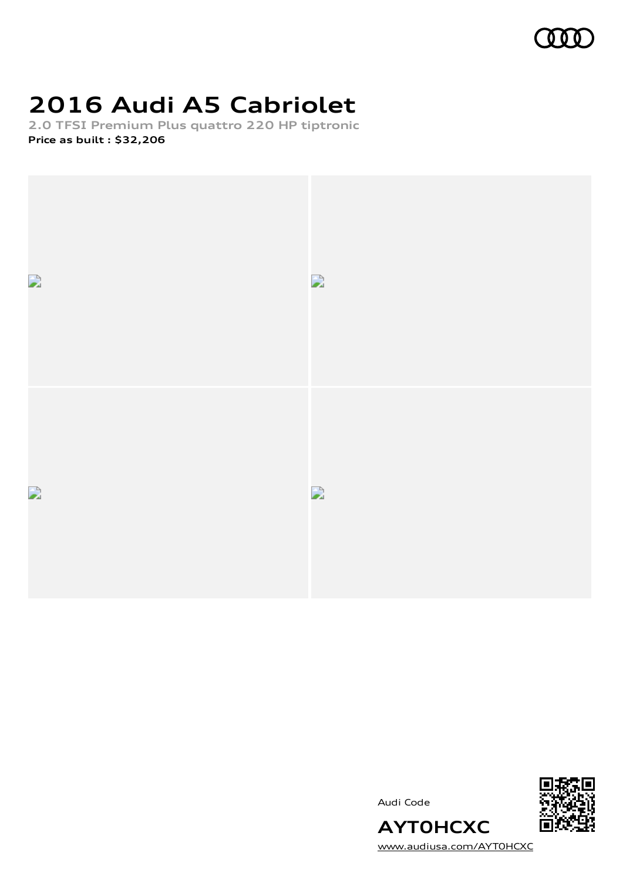

# **2016 Audi A5 Cabriolet**

**2.0 TFSI Premium Plus quattro 220 HP tiptronic Price as built [:](#page-10-0) \$32,206**





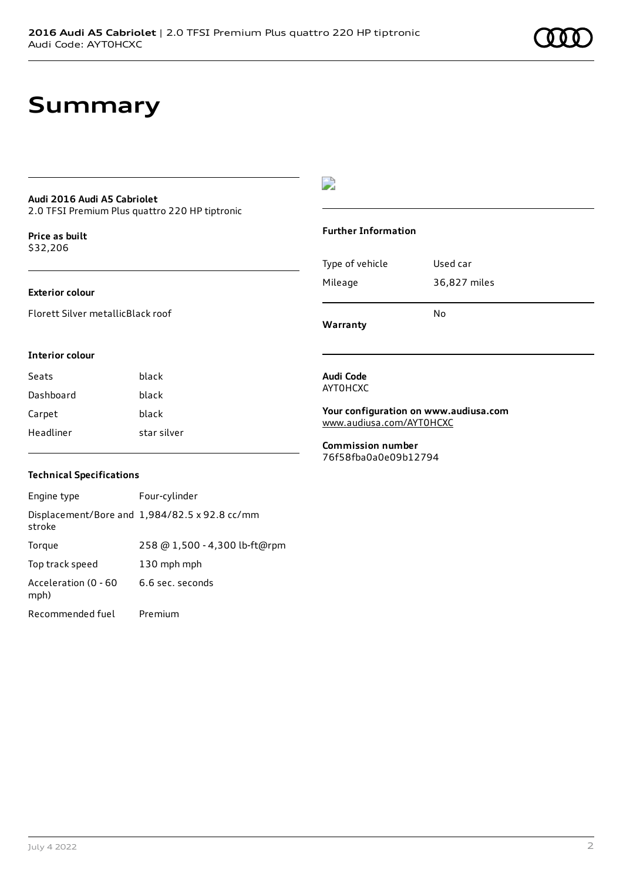### **Summary**

### **Audi 2016 Audi A5 Cabriolet**

2.0 TFSI Premium Plus quattro 220 HP tiptronic

**Price as buil[t](#page-10-0)** \$32,206

### **Exterior colour**

Florett Silver metallicBlack roof

### $\overline{\phantom{a}}$

### **Further Information**

|                 | N٥           |
|-----------------|--------------|
| Mileage         | 36,827 miles |
| Type of vehicle | Used car     |

**Warranty**

#### **Interior colour**

| Seats     | black       |
|-----------|-------------|
| Dashboard | black       |
| Carpet    | black       |
| Headliner | star silver |

### **Audi Code** AYT0HCXC

**Your configuration on www.audiusa.com** [www.audiusa.com/AYT0HCXC](https://www.audiusa.com/AYT0HCXC)

**Commission number** 76f58fba0a0e09b12794

### **Technical Specifications**

| Engine type                  | Four-cylinder                                 |
|------------------------------|-----------------------------------------------|
| stroke                       | Displacement/Bore and 1,984/82.5 x 92.8 cc/mm |
| Torque                       | 258 @ 1,500 - 4,300 lb-ft@rpm                 |
| Top track speed              | 130 mph mph                                   |
| Acceleration (0 - 60<br>mph) | 6.6 sec. seconds                              |
| Recommended fuel             | Premium                                       |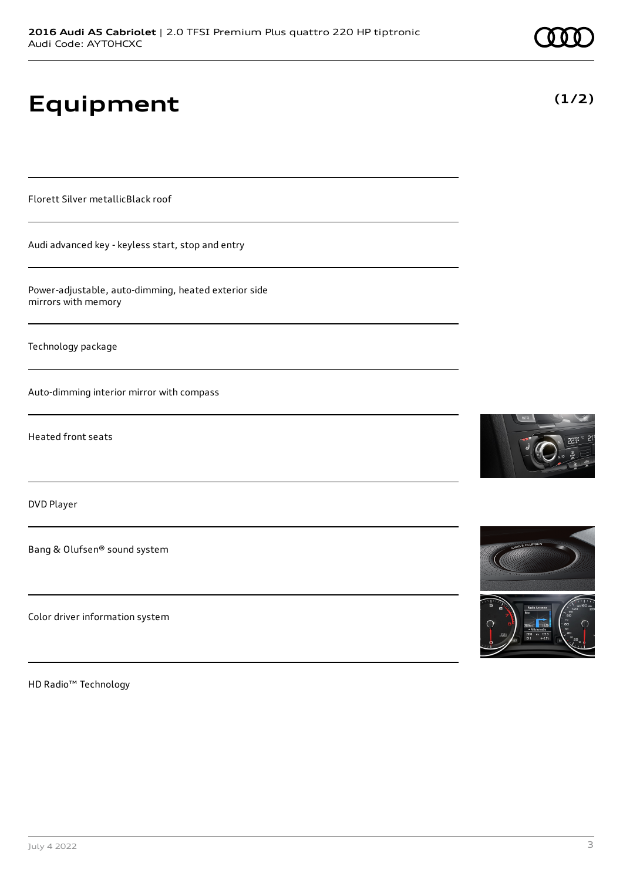# **Equipment**

Florett Silver metallicBlack roof

Audi advanced key - keyless start, stop and entry

Power-adjustable, auto-dimming, heated exterior side mirrors with memory

Technology package

Auto-dimming interior mirror with compass

Heated front seats

DVD Player

Bang & Olufsen® sound system

Color driver information system

HD Radio™ Technology





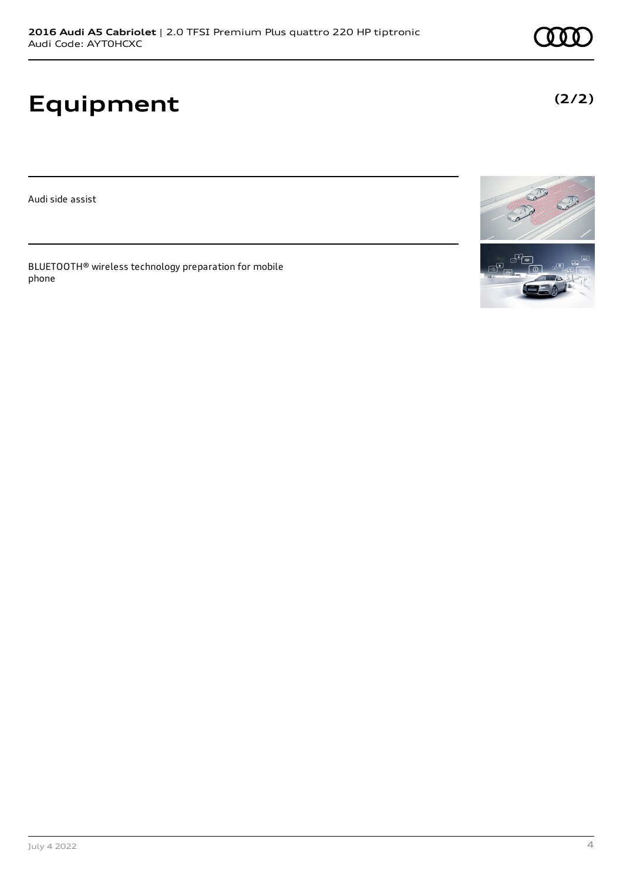# **Equipment**

Audi side assist

BLUETOOTH® wireless technology preparation for mobile phone





**(2/2)**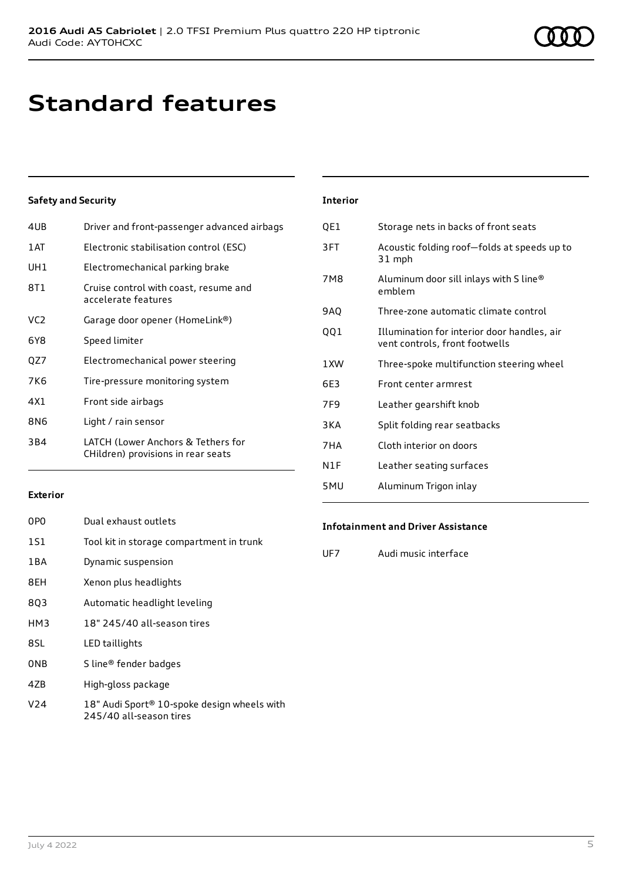# **Standard features**

### **Safety and Security**

| 4UB             | Driver and front-passenger advanced airbags                              |
|-----------------|--------------------------------------------------------------------------|
| 1 AT            | Electronic stabilisation control (ESC)                                   |
| UH1             | Electromechanical parking brake                                          |
| 8T1             | Cruise control with coast, resume and<br>accelerate features             |
| VC <sub>2</sub> | Garage door opener (HomeLink®)                                           |
| 6Y8             | Speed limiter                                                            |
| QZ7             | Electromechanical power steering                                         |
| 7K6             | Tire-pressure monitoring system                                          |
| 4X1             | Front side airbags                                                       |
| 8N6             | Light / rain sensor                                                      |
| 3B4             | LATCH (Lower Anchors & Tethers for<br>CHildren) provisions in rear seats |
|                 |                                                                          |

| <b>Interior</b> |                                                                               |
|-----------------|-------------------------------------------------------------------------------|
| QE1             | Storage nets in backs of front seats                                          |
| 3FT             | Acoustic folding roof-folds at speeds up to<br>31 mph                         |
| 7M8             | Aluminum door sill inlays with S line®<br>emblem                              |
| 9AQ             | Three-zone automatic climate control                                          |
| QQ1             | Illumination for interior door handles, air<br>vent controls, front footwells |
| 1 XW            | Three-spoke multifunction steering wheel                                      |
| 6E3             | Front center armrest                                                          |
| 7F <sub>9</sub> | Leather gearshift knob                                                        |
| 3KA             | Split folding rear seatbacks                                                  |
| 7HA             | Cloth interior on doors                                                       |
| N1F             | Leather seating surfaces                                                      |
| 5MU             | Aluminum Trigon inlay                                                         |

### **Exterior**

| 0P <sub>0</sub> | Dual exhaust outlets                        |
|-----------------|---------------------------------------------|
| 1S1             | Tool kit in storage compartment in trunk    |
| 1BA             | Dynamic suspension                          |
| 8EH             | Xenon plus headlights                       |
| 8Q3             | Automatic headlight leveling                |
| HM3             | 18" 245/40 all-season tires                 |
| 8SL             | LED taillights                              |
| <b>ONB</b>      | S line® fender badges                       |
| 4ZB             | High-gloss package                          |
| V <sub>24</sub> | 18" Audi Sport® 10-spoke design wheels with |

245/40 all-season tires

### **Infotainment and Driver Assistance**

UF7 Audi music interface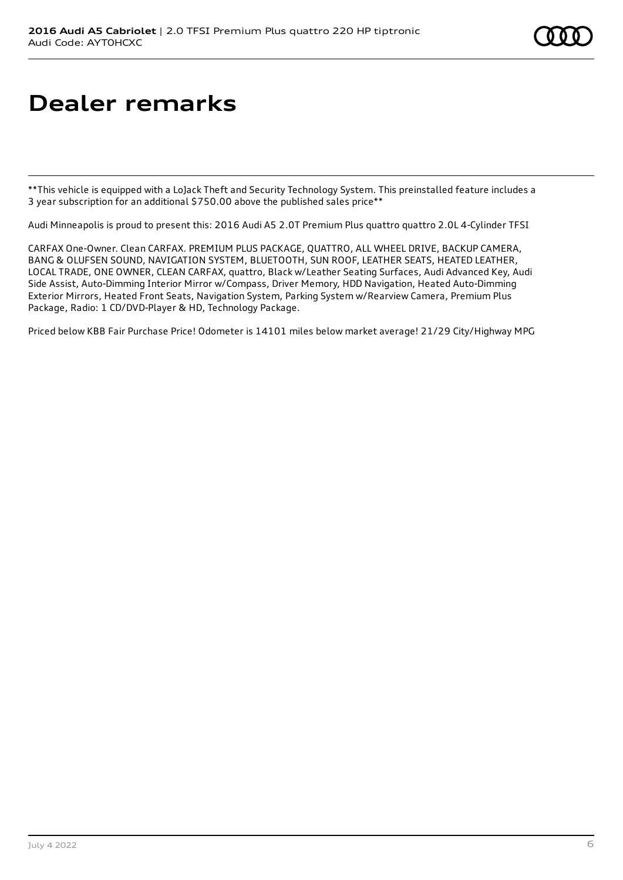# **Dealer remarks**

\*\*This vehicle is equipped with a LoJack Theft and Security Technology System. This preinstalled feature includes a 3 year subscription for an additional \$750.00 above the published sales price\*\*

Audi Minneapolis is proud to present this: 2016 Audi A5 2.0T Premium Plus quattro quattro 2.0L 4-Cylinder TFSI

CARFAX One-Owner. Clean CARFAX. PREMIUM PLUS PACKAGE, QUATTRO, ALL WHEEL DRIVE, BACKUP CAMERA, BANG & OLUFSEN SOUND, NAVIGATION SYSTEM, BLUETOOTH, SUN ROOF, LEATHER SEATS, HEATED LEATHER, LOCAL TRADE, ONE OWNER, CLEAN CARFAX, quattro, Black w/Leather Seating Surfaces, Audi Advanced Key, Audi Side Assist, Auto-Dimming Interior Mirror w/Compass, Driver Memory, HDD Navigation, Heated Auto-Dimming Exterior Mirrors, Heated Front Seats, Navigation System, Parking System w/Rearview Camera, Premium Plus Package, Radio: 1 CD/DVD-Player & HD, Technology Package.

Priced below KBB Fair Purchase Price! Odometer is 14101 miles below market average! 21/29 City/Highway MPG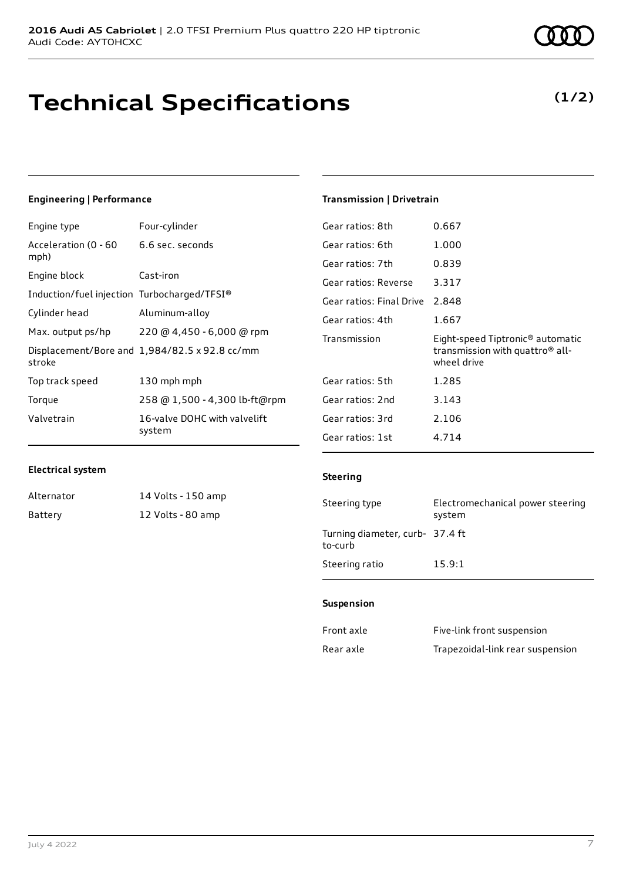## **Technical Specifications**

### **Engineering | Performance**

| Four-cylinder                                 |
|-----------------------------------------------|
| 6.6 sec. seconds                              |
| Cast-iron                                     |
| Induction/fuel injection Turbocharged/TFSI®   |
| Aluminum-alloy                                |
| 220 @ 4,450 - 6,000 @ rpm                     |
| Displacement/Bore and 1,984/82.5 x 92.8 cc/mm |
| 130 mph mph                                   |
| 258 @ 1,500 - 4,300 lb-ft@rpm                 |
| 16-valve DOHC with valvelift<br>system        |
|                                               |

### **Transmission | Drivetrain**

| Gear ratios: 8th         | 0.667                                                                                                      |
|--------------------------|------------------------------------------------------------------------------------------------------------|
| Gear ratios: 6th         | 1.000                                                                                                      |
| Gear ratios: 7th         | 0.839                                                                                                      |
| Gear ratios: Reverse     | 3.317                                                                                                      |
| Gear ratios: Final Drive | 2.848                                                                                                      |
| Gear ratios: 4th         | 1.667                                                                                                      |
|                          |                                                                                                            |
| Transmission             | Eight-speed Tiptronic <sup>®</sup> automatic<br>transmission with quattro <sup>®</sup> all-<br>wheel drive |
| Gear ratios: 5th         | 1.285                                                                                                      |
| Gear ratios: 2nd         | 3.143                                                                                                      |
| Gear ratios: 3rd         | 2.106                                                                                                      |
| Gear ratios: 1st         | 4.714                                                                                                      |

### **Electrical system**

Alternator 14 Volts - 150 amp Battery 12 Volts - 80 amp

### **Steering**

| Steering type                              | Electromechanical power steering<br>system |
|--------------------------------------------|--------------------------------------------|
| Turning diameter, curb- 37.4 ft<br>to-curb |                                            |
| Steering ratio                             | 15.9:1                                     |

### **Suspension**

| Front axle | Five-link front suspension       |
|------------|----------------------------------|
| Rear axle  | Trapezoidal-link rear suspension |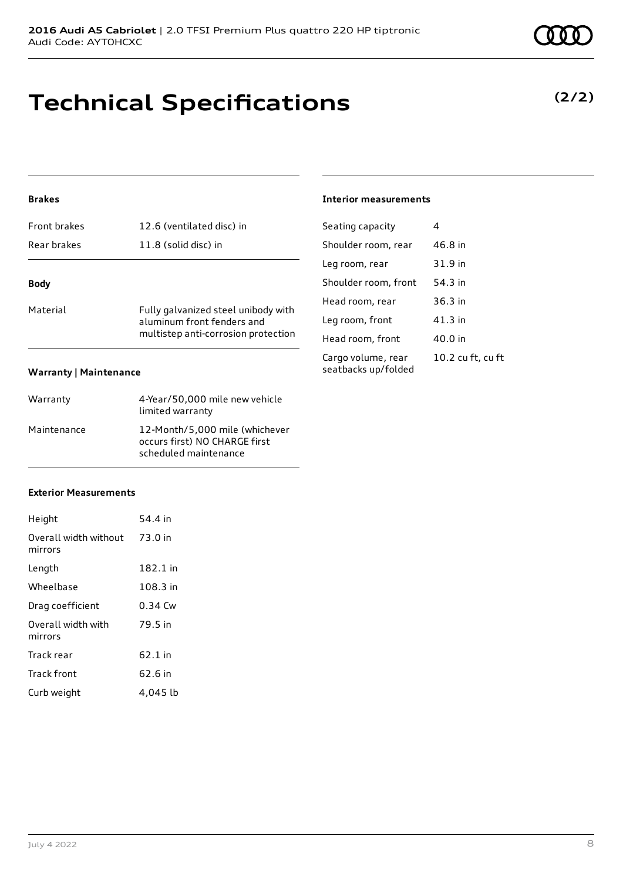## **Technical Specifications**

### **Brakes**

| Front brakes                  | 12.6 (ventilated disc) in                                                                                |
|-------------------------------|----------------------------------------------------------------------------------------------------------|
| Rear brakes                   | 11.8 (solid disc) in                                                                                     |
| <b>Body</b>                   |                                                                                                          |
| Material                      | Fully galvanized steel unibody with<br>aluminum front fenders and<br>multistep anti-corrosion protection |
| <b>Warranty   Maintenance</b> |                                                                                                          |

| Warranty    | 4-Year/50,000 mile new vehicle<br>limited warranty                                       |
|-------------|------------------------------------------------------------------------------------------|
| Maintenance | 12-Month/5,000 mile (whichever<br>occurs first) NO CHARGE first<br>scheduled maintenance |

#### **Interior measurements**

| Seating capacity                          | 4                 |
|-------------------------------------------|-------------------|
| Shoulder room, rear                       | 46.8 in           |
| Leg room, rear                            | 31.9 in           |
| Shoulder room, front                      | 54.3 in           |
| Head room, rear                           | $36.3$ in         |
| Leg room, front                           | $41.3$ in         |
| Head room, front                          | 40.0 in           |
| Cargo volume, rear<br>seatbacks up/folded | 10.2 cu ft, cu ft |

#### **Exterior Measurements**

| Height                           | 54.4 in   |
|----------------------------------|-----------|
| Overall width without<br>mirrors | 73.0 in   |
| Length                           | 182.1 in  |
| Wheelbase                        | 108.3 in  |
| Drag coefficient                 | $0.34$ Cw |
| Overall width with<br>mirrors    | 79.5 in   |
| Track rear                       | 62.1 in   |
| <b>Track front</b>               | 62.6 in   |
| Curb weight                      | 4.045 lb  |

**(2/2)**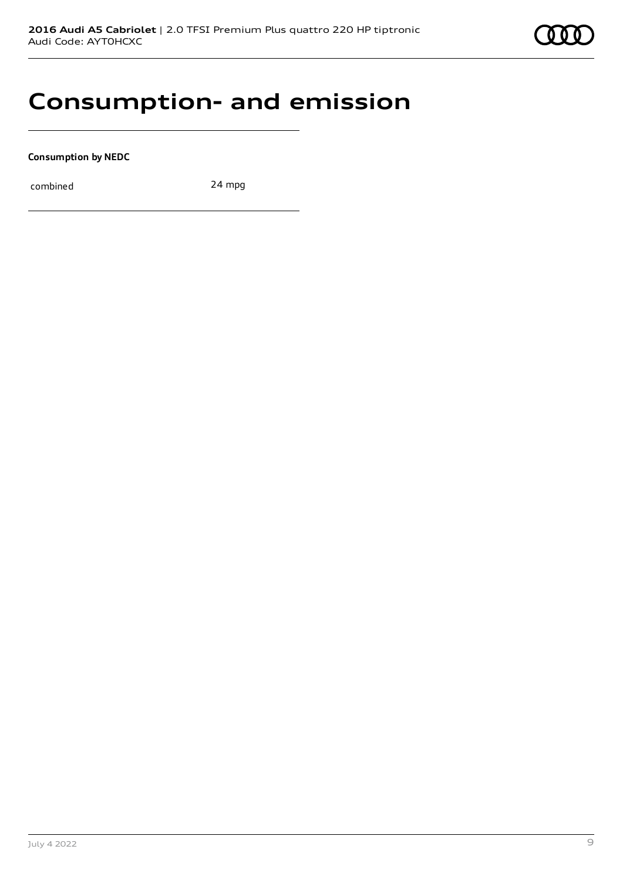

## **Consumption- and emission**

**Consumption by NEDC**

combined 24 mpg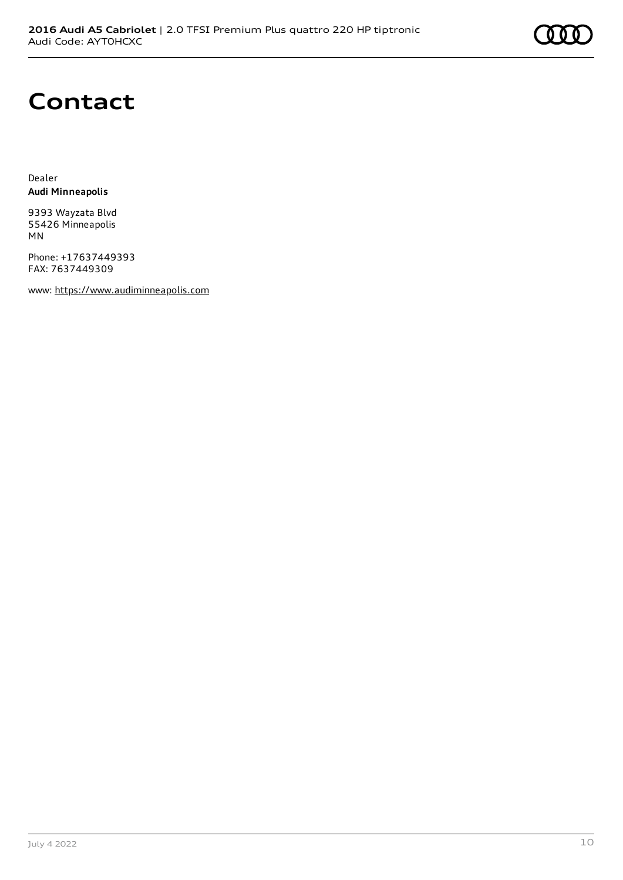

### **Contact**

Dealer **Audi Minneapolis**

9393 Wayzata Blvd 55426 Minneapolis MN

Phone: +17637449393 FAX: 7637449309

www: [https://www.audiminneapolis.com](https://www.audiminneapolis.com/)